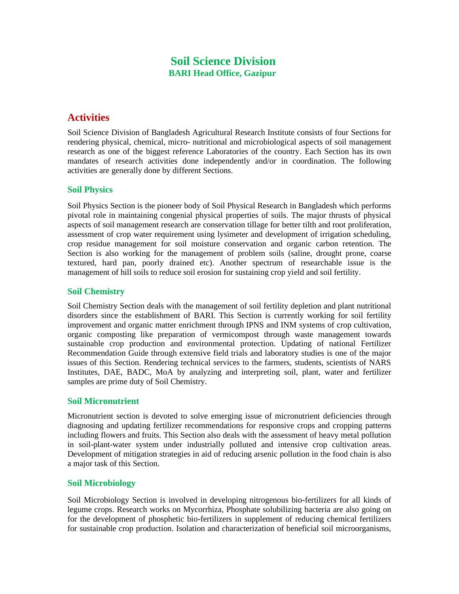## **Soil Science Division BARI Head Office, Gazipur**

# **Activities**

Soil Science Division of Bangladesh Agricultural Research Institute consists of four Sections for rendering physical, chemical, micro- nutritional and microbiological aspects of soil management research as one of the biggest reference Laboratories of the country. Each Section has its own mandates of research activities done independently and/or in coordination. The following activities are generally done by different Sections.

### **Soil Physics**

Soil Physics Section is the pioneer body of Soil Physical Research in Bangladesh which performs pivotal role in maintaining congenial physical properties of soils. The major thrusts of physical aspects of soil management research are conservation tillage for better tilth and root proliferation, assessment of crop water requirement using lysimeter and development of irrigation scheduling, crop residue management for soil moisture conservation and organic carbon retention. The Section is also working for the management of problem soils (saline, drought prone, coarse textured, hard pan, poorly drained etc). Another spectrum of researchable issue is the management of hill soils to reduce soil erosion for sustaining crop yield and soil fertility.

## **Soil Chemistry**

Soil Chemistry Section deals with the management of soil fertility depletion and plant nutritional disorders since the establishment of BARI. This Section is currently working for soil fertility improvement and organic matter enrichment through IPNS and INM systems of crop cultivation, organic composting like preparation of vermicompost through waste management towards sustainable crop production and environmental protection. Updating of national Fertilizer Recommendation Guide through extensive field trials and laboratory studies is one of the major issues of this Section. Rendering technical services to the farmers, students, scientists of NARS Institutes, DAE, BADC, MoA by analyzing and interpreting soil, plant, water and fertilizer samples are prime duty of Soil Chemistry.

### **Soil Micronutrient**

Micronutrient section is devoted to solve emerging issue of micronutrient deficiencies through diagnosing and updating fertilizer recommendations for responsive crops and cropping patterns including flowers and fruits. This Section also deals with the assessment of heavy metal pollution in soil-plant-water system under industrially polluted and intensive crop cultivation areas. Development of mitigation strategies in aid of reducing arsenic pollution in the food chain is also a major task of this Section.

### **Soil Microbiology**

Soil Microbiology Section is involved in developing nitrogenous bio-fertilizers for all kinds of legume crops. Research works on Mycorrhiza, Phosphate solubilizing bacteria are also going on for the development of phosphetic bio-fertilizers in supplement of reducing chemical fertilizers for sustainable crop production. Isolation and characterization of beneficial soil microorganisms,